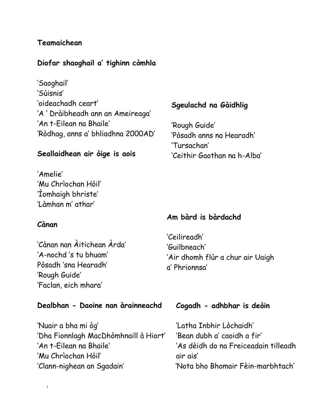# **Teamaichean**

### **Diofar shaoghail a' tighinn còmhla**

'Saoghail' 'Sùisnis' 'oideachadh ceart' 'A ' Dràibheadh ann an Ameireaga' 'An t-Eilean na Bhaile' 'Ròdhag, anns a' bhliadhna 2000AD'

#### **Seallaidhean air òige is aois**

'Amelie' 'Mu Chrìochan Hòil' 'Ìomhaigh bhriste' 'Làmhan m' athar'

#### **Cànan**

 $\epsilon$ 

'Cànan nan Àitichean Àrda' 'A-nochd 's tu bhuam' Pòsadh 'sna Hearadh' 'Rough Guide' 'Faclan, eich mhara'

#### **Dealbhan - Daoine nan àrainneachd**

'Nuair a bha mi òg' 'Dha Fionnlagh MacDhòmhnaill à Hiort' 'An t-Eilean na Bhaile' 'Mu Chrìochan Hòil' 'Clann-nighean an Sgadain'

#### **Sgeulachd na Gàidhlig**

'Rough Guide' 'Pòsadh anns na Hearadh' 'Tursachan' 'Ceithir Gaothan na h-Alba'

#### **Am bàrd is bàrdachd**

'Ceilireadh' 'Guilbneach' 'Air dhomh flùr a chur air Uaigh a' Phrionnsa'

#### **Cogadh - adhbhar is deòin**

'Latha Inbhir Lòchaidh' 'Bean dubh a' caoidh a fir' 'As dèidh do na Freiceadain tilleadh air ais' 'Nota bho Bhomair Fèin-marbhtach'